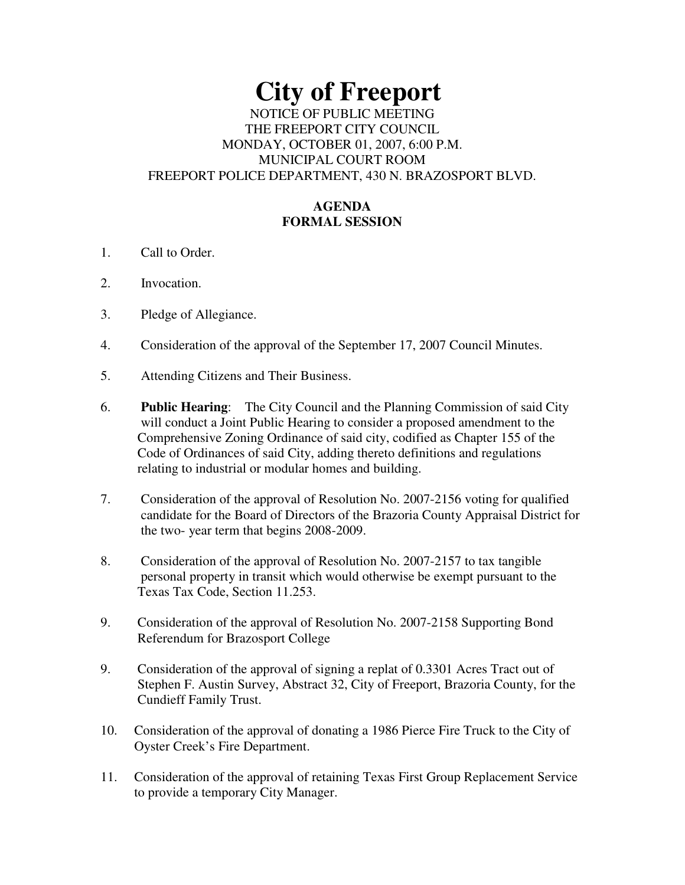# **City of Freeport** NOTICE OF PUBLIC MEETING THE FREEPORT CITY COUNCIL MONDAY, OCTOBER 01, 2007, 6:00 P.M. MUNICIPAL COURT ROOM FREEPORT POLICE DEPARTMENT, 430 N. BRAZOSPORT BLVD.

# **AGENDA FORMAL SESSION**

- 1. Call to Order.
- 2. Invocation.
- 3. Pledge of Allegiance.
- 4. Consideration of the approval of the September 17, 2007 Council Minutes.
- 5. Attending Citizens and Their Business.
- 6. **Public Hearing**: The City Council and the Planning Commission of said City will conduct a Joint Public Hearing to consider a proposed amendment to the Comprehensive Zoning Ordinance of said city, codified as Chapter 155 of the Code of Ordinances of said City, adding thereto definitions and regulations relating to industrial or modular homes and building.
- 7. Consideration of the approval of Resolution No. 2007-2156 voting for qualified candidate for the Board of Directors of the Brazoria County Appraisal District for the two- year term that begins 2008-2009.
- 8. Consideration of the approval of Resolution No. 2007-2157 to tax tangible personal property in transit which would otherwise be exempt pursuant to the Texas Tax Code, Section 11.253.
- 9. Consideration of the approval of Resolution No. 2007-2158 Supporting Bond Referendum for Brazosport College
- 9. Consideration of the approval of signing a replat of 0.3301 Acres Tract out of Stephen F. Austin Survey, Abstract 32, City of Freeport, Brazoria County, for the Cundieff Family Trust.
- 10. Consideration of the approval of donating a 1986 Pierce Fire Truck to the City of Oyster Creek's Fire Department.
- 11. Consideration of the approval of retaining Texas First Group Replacement Service to provide a temporary City Manager.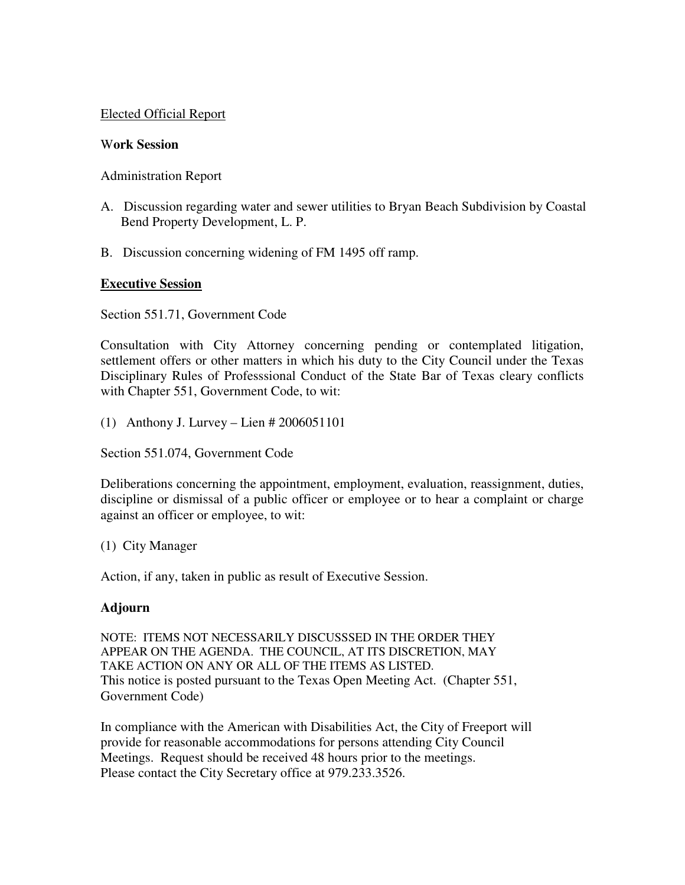## Elected Official Report

#### W**ork Session**

## Administration Report

- A. Discussion regarding water and sewer utilities to Bryan Beach Subdivision by Coastal Bend Property Development, L. P.
- B. Discussion concerning widening of FM 1495 off ramp.

## **Executive Session**

Section 551.71, Government Code

Consultation with City Attorney concerning pending or contemplated litigation, settlement offers or other matters in which his duty to the City Council under the Texas Disciplinary Rules of Professsional Conduct of the State Bar of Texas cleary conflicts with Chapter 551, Government Code, to wit:

(1) Anthony J. Lurvey – Lien # 2006051101

Section 551.074, Government Code

Deliberations concerning the appointment, employment, evaluation, reassignment, duties, discipline or dismissal of a public officer or employee or to hear a complaint or charge against an officer or employee, to wit:

(1) City Manager

Action, if any, taken in public as result of Executive Session.

## **Adjourn**

NOTE: ITEMS NOT NECESSARILY DISCUSSSED IN THE ORDER THEY APPEAR ON THE AGENDA. THE COUNCIL, AT ITS DISCRETION, MAY TAKE ACTION ON ANY OR ALL OF THE ITEMS AS LISTED. This notice is posted pursuant to the Texas Open Meeting Act. (Chapter 551, Government Code)

In compliance with the American with Disabilities Act, the City of Freeport will provide for reasonable accommodations for persons attending City Council Meetings. Request should be received 48 hours prior to the meetings. Please contact the City Secretary office at 979.233.3526.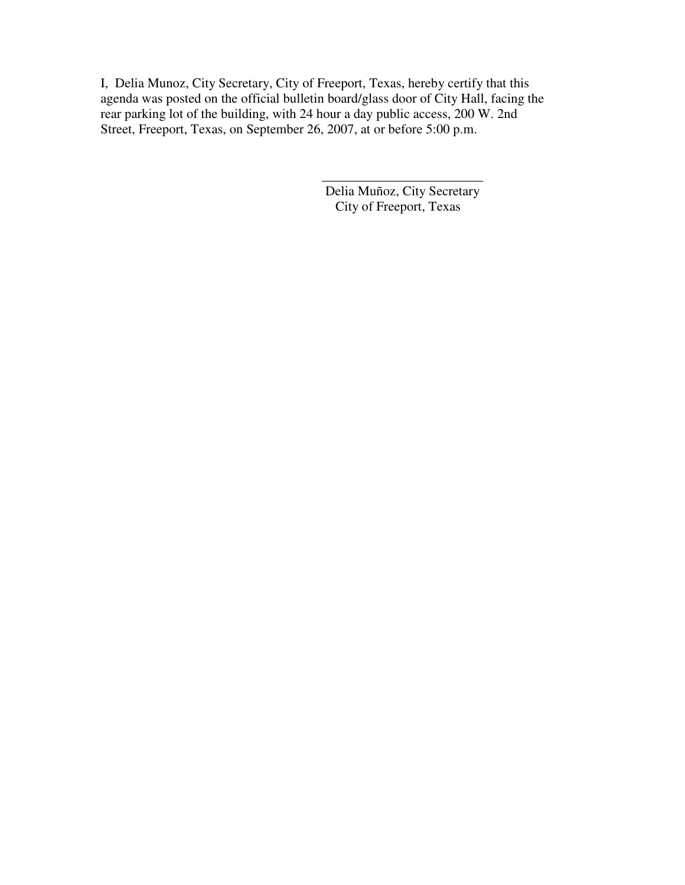I, Delia Munoz, City Secretary, City of Freeport, Texas, hereby certify that this agenda was posted on the official bulletin board/glass door of City Hall, facing the rear parking lot of the building, with 24 hour a day public access, 200 W. 2nd Street, Freeport, Texas, on September 26, 2007, at or before 5:00 p.m.

> Delia Muñoz, City Secretary City of Freeport, Texas

\_\_\_\_\_\_\_\_\_\_\_\_\_\_\_\_\_\_\_\_\_\_\_\_